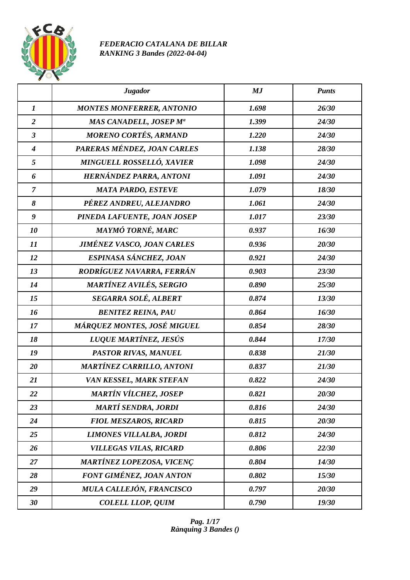

## *FEDERACIO CATALANA DE BILLAR RANKING 3 Bandes (2022-04-04)*

|                  | <b>Jugador</b>                    | MJ    | <b>Punts</b> |
|------------------|-----------------------------------|-------|--------------|
| $\boldsymbol{l}$ | <b>MONTES MONFERRER, ANTONIO</b>  | 1.698 | 26/30        |
| $\overline{2}$   | MAS CANADELL, JOSEP Mª            | 1.399 | 24/30        |
| $\mathfrak{z}$   | <b>MORENO CORTÉS, ARMAND</b>      | 1.220 | 24/30        |
| $\boldsymbol{4}$ | PARERAS MÉNDEZ, JOAN CARLES       | 1.138 | 28/30        |
| 5                | MINGUELL ROSSELLÓ, XAVIER         | 1.098 | 24/30        |
| 6                | HERNÁNDEZ PARRA, ANTONI           | 1.091 | 24/30        |
| $\overline{7}$   | <b>MATA PARDO, ESTEVE</b>         | 1.079 | 18/30        |
| 8                | PÉREZ ANDREU, ALEJANDRO           | 1.061 | 24/30        |
| $\boldsymbol{g}$ | PINEDA LAFUENTE, JOAN JOSEP       | 1.017 | 23/30        |
| 10               | MAYMÓ TORNÉ, MARC                 | 0.937 | 16/30        |
| 11               | <b>JIMÉNEZ VASCO, JOAN CARLES</b> | 0.936 | 20/30        |
| 12               | ESPINASA SÁNCHEZ, JOAN            | 0.921 | 24/30        |
| 13               | RODRÍGUEZ NAVARRA, FERRÁN         | 0.903 | 23/30        |
| 14               | MARTÍNEZ AVILÉS, SERGIO           | 0.890 | 25/30        |
| 15               | SEGARRA SOLÉ, ALBERT              | 0.874 | 13/30        |
| 16               | <b>BENITEZ REINA, PAU</b>         | 0.864 | 16/30        |
| 17               | MÁRQUEZ MONTES, JOSÉ MIGUEL       | 0.854 | 28/30        |
| 18               | LUQUE MARTÍNEZ, JESÚS             | 0.844 | 17/30        |
| 19               | PASTOR RIVAS, MANUEL              | 0.838 | 21/30        |
| 20               | <b>MARTÍNEZ CARRILLO, ANTONI</b>  | 0.837 | 21/30        |
| 21               | VAN KESSEL, MARK STEFAN           | 0.822 | 24/30        |
| 22               | <b>MARTÍN VÍLCHEZ, JOSEP</b>      | 0.821 | 20/30        |
| 23               | <b>MARTÍ SENDRA, JORDI</b>        | 0.816 | 24/30        |
| 24               | <b>FIOL MESZAROS, RICARD</b>      | 0.815 | 20/30        |
| 25               | <b>LIMONES VILLALBA, JORDI</b>    | 0.812 | 24/30        |
| 26               | <b>VILLEGAS VILAS, RICARD</b>     | 0.806 | 22/30        |
| 27               | <b>MARTÍNEZ LOPEZOSA, VICENÇ</b>  | 0.804 | 14/30        |
| 28               | FONT GIMÉNEZ, JOAN ANTON          | 0.802 | 15/30        |
| 29               | MULA CALLEJÓN, FRANCISCO          | 0.797 | 20/30        |
| 30               | <b>COLELL LLOP, QUIM</b>          | 0.790 | 19/30        |

*Pag. 1/17 Rànquing 3 Bandes ()*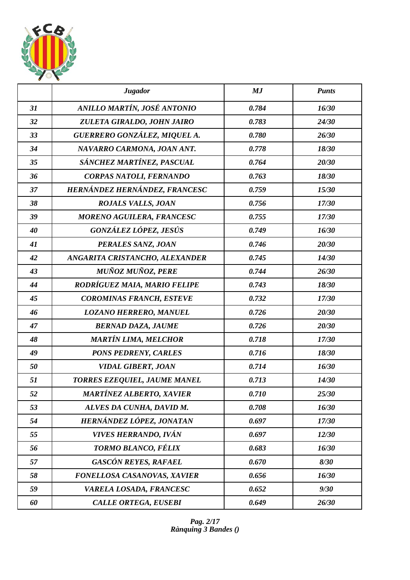

|    | <b>Jugador</b>                   | MJ    | <b>Punts</b> |
|----|----------------------------------|-------|--------------|
| 31 | ANILLO MARTÍN, JOSÉ ANTONIO      | 0.784 | 16/30        |
| 32 | ZULETA GIRALDO, JOHN JAIRO       | 0.783 | 24/30        |
| 33 | GUERRERO GONZÁLEZ, MIQUEL A.     | 0.780 | 26/30        |
| 34 | NAVARRO CARMONA, JOAN ANT.       | 0.778 | 18/30        |
| 35 | SÁNCHEZ MARTÍNEZ, PASCUAL        | 0.764 | 20/30        |
| 36 | CORPAS NATOLI, FERNANDO          | 0.763 | 18/30        |
| 37 | HERNÁNDEZ HERNÁNDEZ, FRANCESC    | 0.759 | 15/30        |
| 38 | <b>ROJALS VALLS, JOAN</b>        | 0.756 | 17/30        |
| 39 | <b>MORENO AGUILERA, FRANCESC</b> | 0.755 | 17/30        |
| 40 | GONZÁLEZ LÓPEZ, JESÚS            | 0.749 | 16/30        |
| 41 | PERALES SANZ, JOAN               | 0.746 | 20/30        |
| 42 | ANGARITA CRISTANCHO, ALEXANDER   | 0.745 | 14/30        |
| 43 | <b>MUÑOZ MUÑOZ, PERE</b>         | 0.744 | 26/30        |
| 44 | RODRÍGUEZ MAIA, MARIO FELIPE     | 0.743 | 18/30        |
| 45 | <b>COROMINAS FRANCH, ESTEVE</b>  | 0.732 | 17/30        |
| 46 | <b>LOZANO HERRERO, MANUEL</b>    | 0.726 | 20/30        |
| 47 | <b>BERNAD DAZA, JAUME</b>        | 0.726 | 20/30        |
| 48 | <b>MARTÍN LIMA, MELCHOR</b>      | 0.718 | 17/30        |
| 49 | <b>PONS PEDRENY, CARLES</b>      | 0.716 | 18/30        |
| 50 | <b>VIDAL GIBERT, JOAN</b>        | 0.714 | 16/30        |
| 51 | TORRES EZEQUIEL, JAUME MANEL     | 0.713 | 14/30        |
| 52 | <b>MARTÍNEZ ALBERTO, XAVIER</b>  | 0.710 | 25/30        |
| 53 | ALVES DA CUNHA, DAVID M.         | 0.708 | 16/30        |
| 54 | HERNÁNDEZ LÓPEZ, JONATAN         | 0.697 | 17/30        |
| 55 | <b>VIVES HERRANDO, IVÁN</b>      | 0.697 | 12/30        |
| 56 | TORMO BLANCO, FÉLIX              | 0.683 | 16/30        |
| 57 | <b>GASCÓN REYES, RAFAEL</b>      | 0.670 | 8/30         |
| 58 | FONELLOSA CASANOVAS, XAVIER      | 0.656 | 16/30        |
| 59 | VARELA LOSADA, FRANCESC          | 0.652 | 9/30         |
| 60 | <b>CALLE ORTEGA, EUSEBI</b>      | 0.649 | 26/30        |

*Pag. 2/17 Rànquing 3 Bandes ()*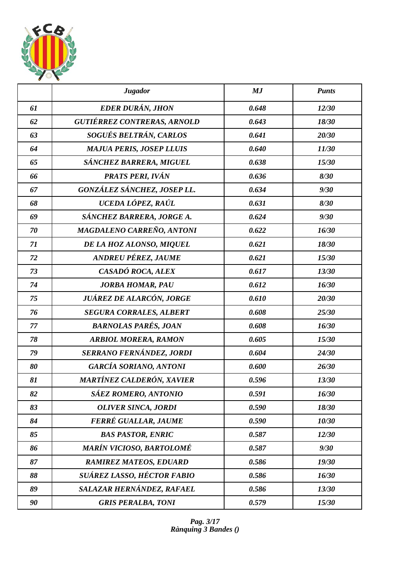

|    | <b>Jugador</b>                     | MJ    | <b>Punts</b> |
|----|------------------------------------|-------|--------------|
| 61 | EDER DURÁN, JHON                   | 0.648 | 12/30        |
| 62 | <b>GUTIÉRREZ CONTRERAS, ARNOLD</b> | 0.643 | 18/30        |
| 63 | SOGUÉS BELTRÁN, CARLOS             | 0.641 | 20/30        |
| 64 | <b>MAJUA PERIS, JOSEP LLUIS</b>    | 0.640 | 11/30        |
| 65 | SÁNCHEZ BARRERA, MIGUEL            | 0.638 | 15/30        |
| 66 | PRATS PERI, IVÁN                   | 0.636 | 8/30         |
| 67 | GONZÁLEZ SÁNCHEZ, JOSEP LL.        | 0.634 | 9/30         |
| 68 | UCEDA LÓPEZ, RAÚL                  | 0.631 | 8/30         |
| 69 | SÁNCHEZ BARRERA, JORGE A.          | 0.624 | 9/30         |
| 70 | <b>MAGDALENO CARREÑO, ANTONI</b>   | 0.622 | 16/30        |
| 71 | DE LA HOZ ALONSO, MIQUEL           | 0.621 | 18/30        |
| 72 | ANDREU PÉREZ, JAUME                | 0.621 | 15/30        |
| 73 | CASADÓ ROCA, ALEX                  | 0.617 | 13/30        |
| 74 | <b>JORBA HOMAR, PAU</b>            | 0.612 | 16/30        |
| 75 | JUÁREZ DE ALARCÓN, JORGE           | 0.610 | 20/30        |
| 76 | <b>SEGURA CORRALES, ALBERT</b>     | 0.608 | 25/30        |
| 77 | <b>BARNOLAS PARÉS, JOAN</b>        | 0.608 | 16/30        |
| 78 | <b>ARBIOL MORERA, RAMON</b>        | 0.605 | 15/30        |
| 79 | SERRANO FERNÁNDEZ, JORDI           | 0.604 | 24/30        |
| 80 | <b>GARCÍA SORIANO, ANTONI</b>      | 0.600 | 26/30        |
| 81 | MARTÍNEZ CALDERÓN, XAVIER          | 0.596 | 13/30        |
| 82 | SÁEZ ROMERO, ANTONIO               | 0.591 | 16/30        |
| 83 | <b>OLIVER SINCA, JORDI</b>         | 0.590 | 18/30        |
| 84 | <b>FERRÉ GUALLAR, JAUME</b>        | 0.590 | 10/30        |
| 85 | <b>BAS PASTOR, ENRIC</b>           | 0.587 | 12/30        |
| 86 | <b>MARÍN VICIOSO, BARTOLOMÉ</b>    | 0.587 | 9/30         |
| 87 | <b>RAMIREZ MATEOS, EDUARD</b>      | 0.586 | 19/30        |
| 88 | SUÁREZ LASSO, HÉCTOR FABIO         | 0.586 | 16/30        |
| 89 | SALAZAR HERNÁNDEZ, RAFAEL          | 0.586 | 13/30        |
| 90 | <b>GRIS PERALBA, TONI</b>          | 0.579 | 15/30        |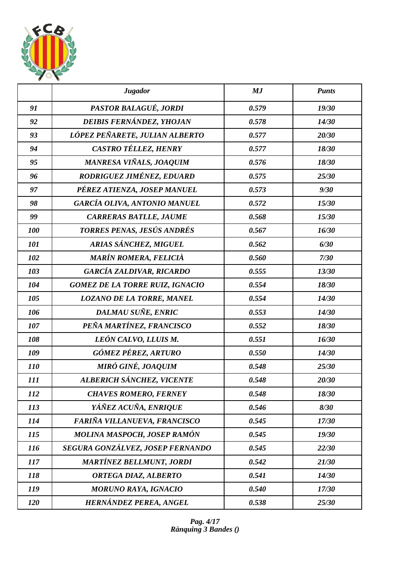

|            | <b>Jugador</b>                         | MJ    | <b>Punts</b> |
|------------|----------------------------------------|-------|--------------|
| 91         | PASTOR BALAGUÉ, JORDI                  | 0.579 | 19/30        |
| 92         | DEIBIS FERNÁNDEZ, YHOJAN               | 0.578 | 14/30        |
| 93         | LÓPEZ PEÑARETE, JULIAN ALBERTO         | 0.577 | 20/30        |
| 94         | CASTRO TÉLLEZ, HENRY                   | 0.577 | 18/30        |
| 95         | MANRESA VIÑALS, JOAQUIM                | 0.576 | 18/30        |
| 96         | RODRIGUEZ JIMÉNEZ, EDUARD              | 0.575 | 25/30        |
| 97         | PÉREZ ATIENZA, JOSEP MANUEL            | 0.573 | 9/30         |
| 98         | <b>GARCÍA OLIVA, ANTONIO MANUEL</b>    | 0.572 | 15/30        |
| 99         | <b>CARRERAS BATLLE, JAUME</b>          | 0.568 | 15/30        |
| 100        | TORRES PENAS, JESÚS ANDRÉS             | 0.567 | 16/30        |
| 101        | ARIAS SÁNCHEZ, MIGUEL                  | 0.562 | 6/30         |
| 102        | <b>MARÍN ROMERA, FELICIÀ</b>           | 0.560 | 7/30         |
| 103        | <b>GARCÍA ZALDIVAR, RICARDO</b>        | 0.555 | 13/30        |
| 104        | <b>GOMEZ DE LA TORRE RUIZ, IGNACIO</b> | 0.554 | 18/30        |
| 105        | <b>LOZANO DE LA TORRE, MANEL</b>       | 0.554 | 14/30        |
| 106        | DALMAU SUÑE, ENRIC                     | 0.553 | 14/30        |
| 107        | PEÑA MARTÍNEZ, FRANCISCO               | 0.552 | 18/30        |
| 108        | LEÓN CALVO, LLUIS M.                   | 0.551 | 16/30        |
| 109        | GÓMEZ PÉREZ, ARTURO                    | 0.550 | 14/30        |
| <i>110</i> | MIRÓ GINÉ, JOAQUIM                     | 0.548 | 25/30        |
| 111        | ALBERICH SÁNCHEZ, VICENTE              | 0.548 | 20/30        |
| 112        | <b>CHAVES ROMERO, FERNEY</b>           | 0.548 | 18/30        |
| 113        | YÁÑEZ ACUÑA, ENRIQUE                   | 0.546 | 8/30         |
| 114        | FARIÑA VILLANUEVA, FRANCISCO           | 0.545 | 17/30        |
| 115        | MOLINA MASPOCH, JOSEP RAMÓN            | 0.545 | 19/30        |
| <i>116</i> | SEGURA GONZÁLVEZ, JOSEP FERNANDO       | 0.545 | 22/30        |
| 117        | <b>MARTÍNEZ BELLMUNT, JORDI</b>        | 0.542 | 21/30        |
| 118        | ORTEGA DIAZ, ALBERTO                   | 0.541 | 14/30        |
| 119        | <b>MORUNO RAYA, IGNACIO</b>            | 0.540 | 17/30        |
| <b>120</b> | HERNÁNDEZ PEREA, ANGEL                 | 0.538 | 25/30        |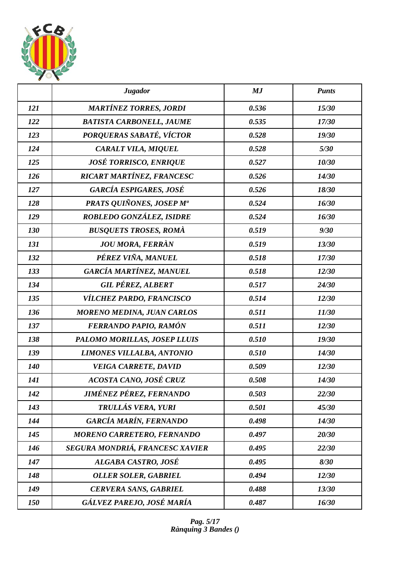

|            | <b>Jugador</b>                    | MJ    | <b>Punts</b> |
|------------|-----------------------------------|-------|--------------|
| 121        | <b>MARTÍNEZ TORRES, JORDI</b>     | 0.536 | 15/30        |
| 122        | <b>BATISTA CARBONELL, JAUME</b>   | 0.535 | 17/30        |
| 123        | PORQUERAS SABATÉ, VÍCTOR          | 0.528 | 19/30        |
| 124        | CARALT VILA, MIQUEL               | 0.528 | 5/30         |
| 125        | <b>JOSÉ TORRISCO, ENRIQUE</b>     | 0.527 | 10/30        |
| 126        | RICART MARTÍNEZ, FRANCESC         | 0.526 | 14/30        |
| 127        | <b>GARCÍA ESPIGARES, JOSÉ</b>     | 0.526 | 18/30        |
| 128        | PRATS QUIÑONES, JOSEP Mª          | 0.524 | 16/30        |
| 129        | ROBLEDO GONZÁLEZ, ISIDRE          | 0.524 | 16/30        |
| 130        | <b>BUSQUETS TROSES, ROMÀ</b>      | 0.519 | 9/30         |
| 131        | <b>JOU MORA, FERRÀN</b>           | 0.519 | 13/30        |
| 132        | PÉREZ VIÑA, MANUEL                | 0.518 | 17/30        |
| 133        | GARCÍA MARTÍNEZ, MANUEL           | 0.518 | 12/30        |
| 134        | <b>GIL PÉREZ, ALBERT</b>          | 0.517 | 24/30        |
| 135        | VÍLCHEZ PARDO, FRANCISCO          | 0.514 | 12/30        |
| 136        | <b>MORENO MEDINA, JUAN CARLOS</b> | 0.511 | 11/30        |
| 137        | FERRANDO PAPIO, RAMÓN             | 0.511 | 12/30        |
| 138        | PALOMO MORILLAS, JOSEP LLUIS      | 0.510 | 19/30        |
| 139        | <b>LIMONES VILLALBA, ANTONIO</b>  | 0.510 | 14/30        |
| <b>140</b> | <b>VEIGA CARRETE, DAVID</b>       | 0.509 | 12/30        |
| 141        | ACOSTA CANO, JOSÉ CRUZ            | 0.508 | 14/30        |
| 142        | JIMÉNEZ PÉREZ, FERNANDO           | 0.503 | 22/30        |
| 143        | TRULLÁS VERA, YURI                | 0.501 | 45/30        |
| 144        | <b>GARCÍA MARÍN, FERNANDO</b>     | 0.498 | 14/30        |
| 145        | MORENO CARRETERO, FERNANDO        | 0.497 | 20/30        |
| 146        | SEGURA MONDRIÁ, FRANCESC XAVIER   | 0.495 | 22/30        |
| 147        | ALGABA CASTRO, JOSÉ               | 0.495 | 8/30         |
| 148        | <b>OLLER SOLER, GABRIEL</b>       | 0.494 | 12/30        |
| 149        | <b>CERVERA SANS, GABRIEL</b>      | 0.488 | 13/30        |
| 150        | GÁLVEZ PAREJO, JOSÉ MARÍA         | 0.487 | 16/30        |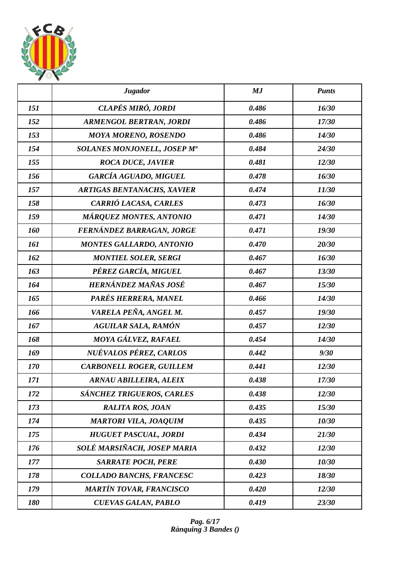

|     | <b>Jugador</b>                          | MJ    | <b>Punts</b> |
|-----|-----------------------------------------|-------|--------------|
| 151 | CLAPÉS MIRÓ, JORDI                      | 0.486 | 16/30        |
| 152 | <b>ARMENGOL BERTRAN, JORDI</b>          | 0.486 | 17/30        |
| 153 | <b>MOYA MORENO, ROSENDO</b>             | 0.486 | 14/30        |
| 154 | SOLANES MONJONELL, JOSEP M <sup>a</sup> | 0.484 | 24/30        |
| 155 | <b>ROCA DUCE, JAVIER</b>                | 0.481 | 12/30        |
| 156 | <b>GARCÍA AGUADO, MIGUEL</b>            | 0.478 | 16/30        |
| 157 | <b>ARTIGAS BENTANACHS, XAVIER</b>       | 0.474 | 11/30        |
| 158 | CARRIÓ LACASA, CARLES                   | 0.473 | 16/30        |
| 159 | MÁRQUEZ MONTES, ANTONIO                 | 0.471 | 14/30        |
| 160 | FERNÁNDEZ BARRAGAN, JORGE               | 0.471 | 19/30        |
| 161 | <b>MONTES GALLARDO, ANTONIO</b>         | 0.470 | 20/30        |
| 162 | <b>MONTIEL SOLER, SERGI</b>             | 0.467 | 16/30        |
| 163 | PÉREZ GARCÍA, MIGUEL                    | 0.467 | 13/30        |
| 164 | HERNÁNDEZ MAÑAS JOSÉ                    | 0.467 | 15/30        |
| 165 | PARÉS HERRERA, MANEL                    | 0.466 | 14/30        |
| 166 | VARELA PEÑA, ANGEL M.                   | 0.457 | 19/30        |
| 167 | <b>AGUILAR SALA, RAMÓN</b>              | 0.457 | 12/30        |
| 168 | MOYA GÁLVEZ, RAFAEL                     | 0.454 | 14/30        |
| 169 | NUÉVALOS PÉREZ, CARLOS                  | 0.442 | 9/30         |
| 170 | <b>CARBONELL ROGER, GUILLEM</b>         | 0.441 | 12/30        |
| 171 | <b>ARNAU ABILLEIRA, ALEIX</b>           | 0.438 | 17/30        |
| 172 | SÁNCHEZ TRIGUEROS, CARLES               | 0.438 | 12/30        |
| 173 | <b>RALITA ROS, JOAN</b>                 | 0.435 | 15/30        |
| 174 | <b>MARTORI VILA, JOAQUIM</b>            | 0.435 | 10/30        |
| 175 | <b>HUGUET PASCUAL, JORDI</b>            | 0.434 | 21/30        |
| 176 | SOLÉ MARSIÑACH, JOSEP MARIA             | 0.432 | 12/30        |
| 177 | <b>SARRATE POCH, PERE</b>               | 0.430 | 10/30        |
| 178 | COLLADO BANCHS, FRANCESC                | 0.423 | 18/30        |
| 179 | <b>MARTÍN TOVAR, FRANCISCO</b>          | 0.420 | 12/30        |
| 180 | <b>CUEVAS GALAN, PABLO</b>              | 0.419 | 23/30        |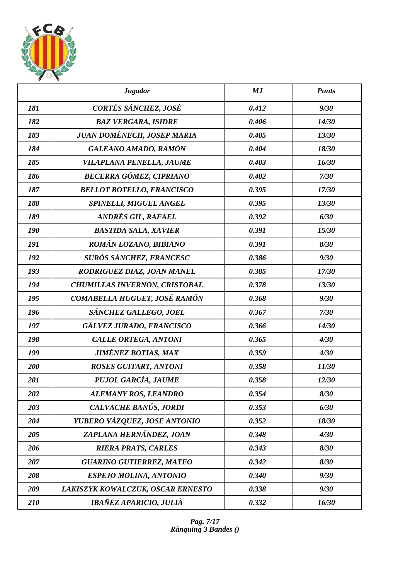

|     | <b>Jugador</b>                       | MJ    | <b>Punts</b> |
|-----|--------------------------------------|-------|--------------|
| 181 | CORTÉS SÁNCHEZ, JOSÉ                 | 0.412 | 9/30         |
| 182 | <b>BAZ VERGARA, ISIDRE</b>           | 0.406 | 14/30        |
| 183 | JUAN DOMÈNECH, JOSEP MARIA           | 0.405 | 13/30        |
| 184 | GALEANO AMADO, RAMÓN                 | 0.404 | 18/30        |
| 185 | VILAPLANA PENELLA, JAUME             | 0.403 | 16/30        |
| 186 | <b>BECERRA GÓMEZ, CIPRIANO</b>       | 0.402 | 7/30         |
| 187 | <b>BELLOT BOTELLO, FRANCISCO</b>     | 0.395 | 17/30        |
| 188 | SPINELLI, MIGUEL ANGEL               | 0.395 | 13/30        |
| 189 | ANDRÉS GIL, RAFAEL                   | 0.392 | 6/30         |
| 190 | <b>BASTIDA SALA, XAVIER</b>          | 0.391 | 15/30        |
| 191 | ROMÁN LOZANO, BIBIANO                | 0.391 | 8/30         |
| 192 | SURÓS SÁNCHEZ, FRANCESC              | 0.386 | 9/30         |
| 193 | RODRIGUEZ DIAZ, JOAN MANEL           | 0.385 | 17/30        |
| 194 | <b>CHUMILLAS INVERNON, CRISTOBAL</b> | 0.378 | 13/30        |
| 195 | COMABELLA HUGUET, JOSÉ RAMÓN         | 0.368 | 9/30         |
| 196 | SÁNCHEZ GALLEGO, JOEL                | 0.367 | 7/30         |
| 197 | GÁLVEZ JURADO, FRANCISCO             | 0.366 | 14/30        |
| 198 | <b>CALLE ORTEGA, ANTONI</b>          | 0.365 | 4/30         |
| 199 | <b>JIMÉNEZ BOTIAS, MAX</b>           | 0.359 | 4/30         |
| 200 | <b>ROSES GUITART, ANTONI</b>         | 0.358 | 11/30        |
| 201 | PUJOL GARCÍA, JAUME                  | 0.358 | 12/30        |
| 202 | ALEMANY ROS, LEANDRO                 | 0.354 | 8/30         |
| 203 | CALVACHE BANÚS, JORDI                | 0.353 | 6/30         |
| 204 | YUBERO VÁZQUEZ, JOSE ANTONIO         | 0.352 | 18/30        |
| 205 | ZAPLANA HERNÁNDEZ, JOAN              | 0.348 | 4/30         |
| 206 | <b>RIERA PRATS, CARLES</b>           | 0.343 | 8/30         |
| 207 | <b>GUARINO GUTIERREZ, MATEO</b>      | 0.342 | 8/30         |
| 208 | ESPEJO MOLINA, ANTONIO               | 0.340 | 9/30         |
| 209 | LAKISZYK KOWALCZUK, OSCAR ERNESTO    | 0.338 | 9/30         |
| 210 | IBAÑEZ APARICIO, JULIÀ               | 0.332 | 16/30        |

*Pag. 7/17 Rànquing 3 Bandes ()*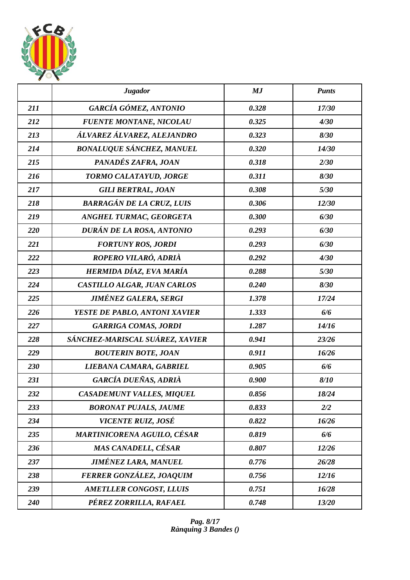

|     | <b>Jugador</b>                     | MJ    | <b>Punts</b> |
|-----|------------------------------------|-------|--------------|
| 211 | GARCÍA GÓMEZ, ANTONIO              | 0.328 | 17/30        |
| 212 | <b>FUENTE MONTANE, NICOLAU</b>     | 0.325 | 4/30         |
| 213 | ÁLVAREZ ÁLVAREZ, ALEJANDRO         | 0.323 | 8/30         |
| 214 | <b>BONALUQUE SÁNCHEZ, MANUEL</b>   | 0.320 | 14/30        |
| 215 | PANADÉS ZAFRA, JOAN                | 0.318 | 2/30         |
| 216 | TORMO CALATAYUD, JORGE             | 0.311 | 8/30         |
| 217 | <b>GILI BERTRAL, JOAN</b>          | 0.308 | 5/30         |
| 218 | <b>BARRAGÁN DE LA CRUZ, LUIS</b>   | 0.306 | 12/30        |
| 219 | ANGHEL TURMAC, GEORGETA            | 0.300 | 6/30         |
| 220 | DURÁN DE LA ROSA, ANTONIO          | 0.293 | 6/30         |
| 221 | <b>FORTUNY ROS, JORDI</b>          | 0.293 | 6/30         |
| 222 | ROPERO VILARÓ, ADRIÀ               | 0.292 | 4/30         |
| 223 | HERMIDA DÍAZ, EVA MARÍA            | 0.288 | 5/30         |
| 224 | CASTILLO ALGAR, JUAN CARLOS        | 0.240 | 8/30         |
| 225 | <b>JIMÉNEZ GALERA, SERGI</b>       | 1.378 | 17/24        |
| 226 | YESTE DE PABLO, ANTONI XAVIER      | 1.333 | 6/6          |
| 227 | <b>GARRIGA COMAS, JORDI</b>        | 1.287 | 14/16        |
| 228 | SÁNCHEZ-MARISCAL SUÁREZ, XAVIER    | 0.941 | 23/26        |
| 229 | <b>BOUTERIN BOTE, JOAN</b>         | 0.911 | 16/26        |
| 230 | LIEBANA CAMARA, GABRIEL            | 0.905 | 6/6          |
| 231 | GARCÍA DUEÑAS, ADRIÀ               | 0.900 | 8/10         |
| 232 | <b>CASADEMUNT VALLES, MIQUEL</b>   | 0.856 | 18/24        |
| 233 | <b>BORONAT PUJALS, JAUME</b>       | 0.833 | 2/2          |
| 234 | VICENTE RUIZ, JOSÉ                 | 0.822 | 16/26        |
| 235 | <b>MARTINICORENA AGUILO, CÉSAR</b> | 0.819 | 6/6          |
| 236 | <b>MAS CANADELL, CÉSAR</b>         | 0.807 | 12/26        |
| 237 | <b>JIMÉNEZ LARA, MANUEL</b>        | 0.776 | 26/28        |
| 238 | FERRER GONZÁLEZ, JOAQUIM           | 0.756 | 12/16        |
| 239 | <b>AMETLLER CONGOST, LLUIS</b>     | 0.751 | 16/28        |
| 240 | PÉREZ ZORRILLA, RAFAEL             | 0.748 | 13/20        |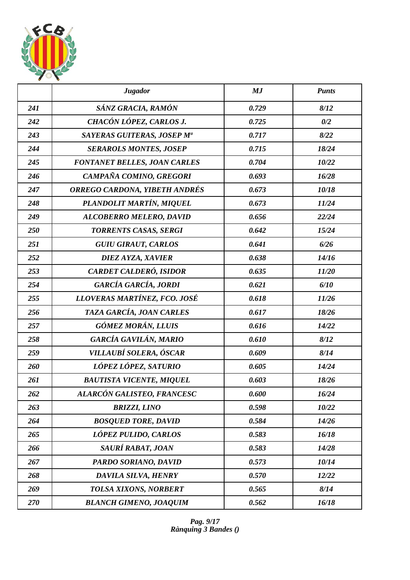

|     | <b>Jugador</b>                       | MJ    | <b>Punts</b> |
|-----|--------------------------------------|-------|--------------|
| 241 | SÁNZ GRACIA, RAMÓN                   | 0.729 | 8/12         |
| 242 | CHACÓN LÓPEZ, CARLOS J.              | 0.725 | 0/2          |
| 243 | SAYERAS GUITERAS, JOSEP Mª           | 0.717 | 8/22         |
| 244 | <b>SERAROLS MONTES, JOSEP</b>        | 0.715 | 18/24        |
| 245 | <b>FONTANET BELLES, JOAN CARLES</b>  | 0.704 | 10/22        |
| 246 | CAMPAÑA COMINO, GREGORI              | 0.693 | 16/28        |
| 247 | <b>ORREGO CARDONA, YIBETH ANDRÉS</b> | 0.673 | 10/18        |
| 248 | PLANDOLIT MARTÍN, MIQUEL             | 0.673 | 11/24        |
| 249 | <b>ALCOBERRO MELERO, DAVID</b>       | 0.656 | 22/24        |
| 250 | TORRENTS CASAS, SERGI                | 0.642 | 15/24        |
| 251 | <b>GUIU GIRAUT, CARLOS</b>           | 0.641 | 6/26         |
| 252 | <b>DIEZ AYZA, XAVIER</b>             | 0.638 | 14/16        |
| 253 | CARDET CALDERÓ, ISIDOR               | 0.635 | 11/20        |
| 254 | GARCÍA GARCÍA, JORDI                 | 0.621 | 6/10         |
| 255 | LLOVERAS MARTÍNEZ, FCO. JOSÉ         | 0.618 | 11/26        |
| 256 | TAZA GARCÍA, JOAN CARLES             | 0.617 | 18/26        |
| 257 | GÓMEZ MORÁN, LLUIS                   | 0.616 | 14/22        |
| 258 | GARCÍA GAVILÁN, MARIO                | 0.610 | 8/12         |
| 259 | VILLAUBÍ SOLERA, ÓSCAR               | 0.609 | 8/14         |
| 260 | LÓPEZ LÓPEZ, SATURIO                 | 0.605 | 14/24        |
| 261 | <b>BAUTISTA VICENTE, MIQUEL</b>      | 0.603 | 18/26        |
| 262 | ALARCÓN GALISTEO, FRANCESC           | 0.600 | 16/24        |
| 263 | <b>BRIZZI, LINO</b>                  | 0.598 | 10/22        |
| 264 | <b>BOSQUED TORE, DAVID</b>           | 0.584 | 14/26        |
| 265 | LÓPEZ PULIDO, CARLOS                 | 0.583 | 16/18        |
| 266 | SAURÍ RABAT, JOAN                    | 0.583 | 14/28        |
| 267 | PARDO SORIANO, DAVID                 | 0.573 | 10/14        |
| 268 | DAVILA SILVA, HENRY                  | 0.570 | 12/22        |
| 269 | TOLSA XIXONS, NORBERT                | 0.565 | 8/14         |
| 270 | <b>BLANCH GIMENO, JOAQUIM</b>        | 0.562 | 16/18        |

*Pag. 9/17 Rànquing 3 Bandes ()*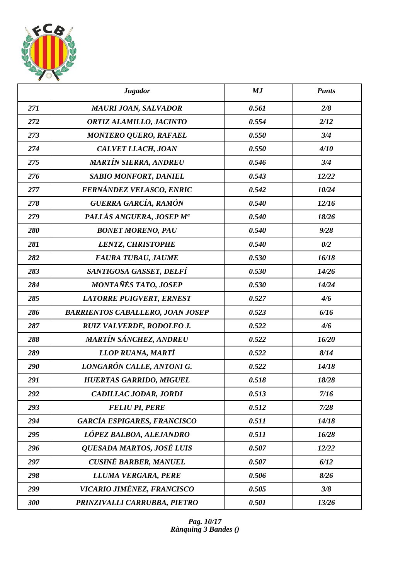

|     | <b>Jugador</b>                          | MJ    | <b>Punts</b> |
|-----|-----------------------------------------|-------|--------------|
| 271 | <b>MAURI JOAN, SALVADOR</b>             | 0.561 | 2/8          |
| 272 | ORTIZ ALAMILLO, JACINTO                 | 0.554 | 2/12         |
| 273 | <b>MONTERO QUERO, RAFAEL</b>            | 0.550 | 3/4          |
| 274 | CALVET LLACH, JOAN                      | 0.550 | 4/10         |
| 275 | <b>MARTÍN SIERRA, ANDREU</b>            | 0.546 | 3/4          |
| 276 | <b>SABIO MONFORT, DANIEL</b>            | 0.543 | 12/22        |
| 277 | FERNÁNDEZ VELASCO, ENRIC                | 0.542 | 10/24        |
| 278 | GUERRA GARCÍA, RAMÓN                    | 0.540 | 12/16        |
| 279 | PALLÀS ANGUERA, JOSEP Mª                | 0.540 | 18/26        |
| 280 | <b>BONET MORENO, PAU</b>                | 0.540 | 9/28         |
| 281 | <b>LENTZ, CHRISTOPHE</b>                | 0.540 | 0/2          |
| 282 | <b>FAURA TUBAU, JAUME</b>               | 0.530 | 16/18        |
| 283 | SANTIGOSA GASSET, DELFÍ                 | 0.530 | 14/26        |
| 284 | MONTAÑÉS TATO, JOSEP                    | 0.530 | 14/24        |
| 285 | <b>LATORRE PUIGVERT, ERNEST</b>         | 0.527 | 4/6          |
| 286 | <b>BARRIENTOS CABALLERO, JOAN JOSEP</b> | 0.523 | 6/16         |
| 287 | RUIZ VALVERDE, RODOLFO J.               | 0.522 | 4/6          |
| 288 | MARTÍN SÁNCHEZ, ANDREU                  | 0.522 | 16/20        |
| 289 | LLOP RUANA, MARTÍ                       | 0.522 | 8/14         |
| 290 | LONGARÓN CALLE, ANTONI G.               | 0.522 | 14/18        |
| 291 | <b>HUERTAS GARRIDO, MIGUEL</b>          | 0.518 | 18/28        |
| 292 | CADILLAC JODAR, JORDI                   | 0.513 | 7/16         |
| 293 | <b>FELIU PI, PERE</b>                   | 0.512 | 7/28         |
| 294 | <b>GARCÍA ESPIGARES, FRANCISCO</b>      | 0.511 | 14/18        |
| 295 | LÓPEZ BALBOA, ALEJANDRO                 | 0.511 | 16/28        |
| 296 | QUESADA MARTOS, JOSÉ LUIS               | 0.507 | 12/22        |
| 297 | <b>CUSINÉ BARBER, MANUEL</b>            | 0.507 | 6/12         |
| 298 | LLUMA VERGARA, PERE                     | 0.506 | 8/26         |
| 299 | VICARIO JIMÉNEZ, FRANCISCO              | 0.505 | 3/8          |
| 300 | PRINZIVALLI CARRUBBA, PIETRO            | 0.501 | 13/26        |

*Pag. 10/17 Rànquing 3 Bandes ()*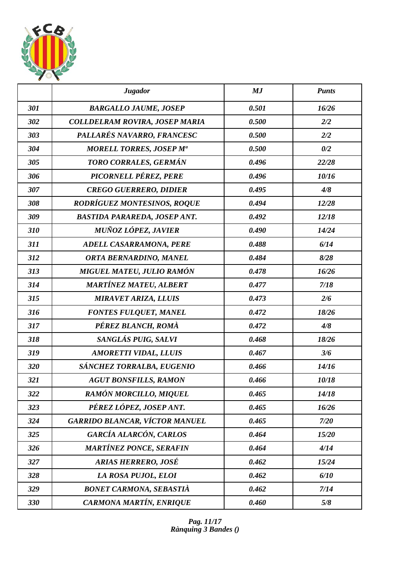

|     | <b>Jugador</b>                        | MJ    | <b>Punts</b> |
|-----|---------------------------------------|-------|--------------|
| 301 | <b>BARGALLO JAUME, JOSEP</b>          | 0.501 | 16/26        |
| 302 | <b>COLLDELRAM ROVIRA, JOSEP MARIA</b> | 0.500 | 2/2          |
| 303 | PALLARÉS NAVARRO, FRANCESC            | 0.500 | 2/2          |
| 304 | <b>MORELL TORRES, JOSEP Ma</b>        | 0.500 | 0/2          |
| 305 | TORO CORRALES, GERMÁN                 | 0.496 | 22/28        |
| 306 | PICORNELL PÉREZ, PERE                 | 0.496 | 10/16        |
| 307 | <b>CREGO GUERRERO, DIDIER</b>         | 0.495 | 4/8          |
| 308 | <b>RODRÍGUEZ MONTESINOS, ROQUE</b>    | 0.494 | 12/28        |
| 309 | <b>BASTIDA PARAREDA, JOSEP ANT.</b>   | 0.492 | 12/18        |
| 310 | MUÑOZ LÓPEZ, JAVIER                   | 0.490 | 14/24        |
| 311 | ADELL CASARRAMONA, PERE               | 0.488 | 6/14         |
| 312 | ORTA BERNARDINO, MANEL                | 0.484 | 8/28         |
| 313 | MIGUEL MATEU, JULIO RAMÓN             | 0.478 | 16/26        |
| 314 | <b>MARTÍNEZ MATEU, ALBERT</b>         | 0.477 | 7/18         |
| 315 | <b>MIRAVET ARIZA, LLUIS</b>           | 0.473 | 2/6          |
| 316 | <b>FONTES FULQUET, MANEL</b>          | 0.472 | 18/26        |
| 317 | PÉREZ BLANCH, ROMÀ                    | 0.472 | 4/8          |
| 318 | SANGLÁS PUIG, SALVI                   | 0.468 | 18/26        |
| 319 | <b>AMORETTI VIDAL, LLUIS</b>          | 0.467 | 3/6          |
| 320 | SÁNCHEZ TORRALBA, EUGENIO             | 0.466 | 14/16        |
| 321 | <b>AGUT BONSFILLS, RAMON</b>          | 0.466 | 10/18        |
| 322 | RAMÓN MORCILLO, MIQUEL                | 0.465 | 14/18        |
| 323 | PÉREZ LÓPEZ, JOSEP ANT.               | 0.465 | 16/26        |
| 324 | GARRIDO BLANCAR, VÍCTOR MANUEL        | 0.465 | 7/20         |
| 325 | <b>GARCÍA ALARCÓN, CARLOS</b>         | 0.464 | 15/20        |
| 326 | <b>MARTÍNEZ PONCE, SERAFIN</b>        | 0.464 | 4/14         |
| 327 | <b>ARIAS HERRERO, JOSÉ</b>            | 0.462 | 15/24        |
| 328 | LA ROSA PUJOL, ELOI                   | 0.462 | 6/10         |
| 329 | <b>BONET CARMONA, SEBASTIÀ</b>        | 0.462 | 7/14         |
| 330 | CARMONA MARTÍN, ENRIQUE               | 0.460 | 5/8          |

*Pag. 11/17 Rànquing 3 Bandes ()*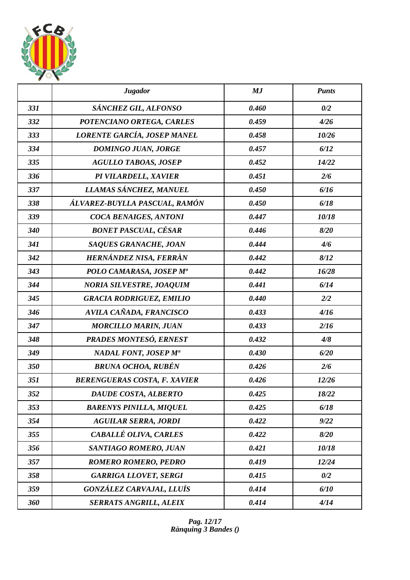

|     | <b>Jugador</b>                      | MJ    | <b>Punts</b> |
|-----|-------------------------------------|-------|--------------|
| 331 | SÁNCHEZ GIL, ALFONSO                | 0.460 | 0/2          |
| 332 | POTENCIANO ORTEGA, CARLES           | 0.459 | 4/26         |
| 333 | LORENTE GARCÍA, JOSEP MANEL         | 0.458 | 10/26        |
| 334 | <b>DOMINGO JUAN, JORGE</b>          | 0.457 | 6/12         |
| 335 | <b>AGULLO TABOAS, JOSEP</b>         | 0.452 | 14/22        |
| 336 | PI VILARDELL, XAVIER                | 0.451 | 2/6          |
| 337 | LLAMAS SÁNCHEZ, MANUEL              | 0.450 | 6/16         |
| 338 | ÁLVAREZ-BUYLLA PASCUAL, RAMÓN       | 0.450 | 6/18         |
| 339 | COCA BENAIGES, ANTONI               | 0.447 | 10/18        |
| 340 | <b>BONET PASCUAL, CÉSAR</b>         | 0.446 | 8/20         |
| 341 | <b>SAQUES GRANACHE, JOAN</b>        | 0.444 | 4/6          |
| 342 | HERNÁNDEZ NISA, FERRÀN              | 0.442 | 8/12         |
| 343 | POLO CAMARASA, JOSEP Mª             | 0.442 | 16/28        |
| 344 | <b>NORIA SILVESTRE, JOAQUIM</b>     | 0.441 | 6/14         |
| 345 | <b>GRACIA RODRIGUEZ, EMILIO</b>     | 0.440 | 2/2          |
| 346 | AVILA CAÑADA, FRANCISCO             | 0.433 | 4/16         |
| 347 | <b>MORCILLO MARIN, JUAN</b>         | 0.433 | 2/16         |
| 348 | PRADES MONTESÓ, ERNEST              | 0.432 | 4/8          |
| 349 | NADAL FONT, JOSEP M <sup>a</sup>    | 0.430 | 6/20         |
| 350 | <b>BRUNA OCHOA, RUBÉN</b>           | 0.426 | 2/6          |
| 351 | <b>BERENGUERAS COSTA, F. XAVIER</b> | 0.426 | 12/26        |
| 352 | DAUDE COSTA, ALBERTO                | 0.425 | 18/22        |
| 353 | <b>BARENYS PINILLA, MIQUEL</b>      | 0.425 | 6/18         |
| 354 | <b>AGUILAR SERRA, JORDI</b>         | 0.422 | 9/22         |
| 355 | CABALLÉ OLIVA, CARLES               | 0.422 | 8/20         |
| 356 | SANTIAGO ROMERO, JUAN               | 0.421 | 10/18        |
| 357 | <b>ROMERO ROMERO, PEDRO</b>         | 0.419 | 12/24        |
| 358 | <b>GARRIGA LLOVET, SERGI</b>        | 0.415 | 0/2          |
| 359 | <b>GONZÁLEZ CARVAJAL, LLUÍS</b>     | 0.414 | 6/10         |
| 360 | <b>SERRATS ANGRILL, ALEIX</b>       | 0.414 | 4/14         |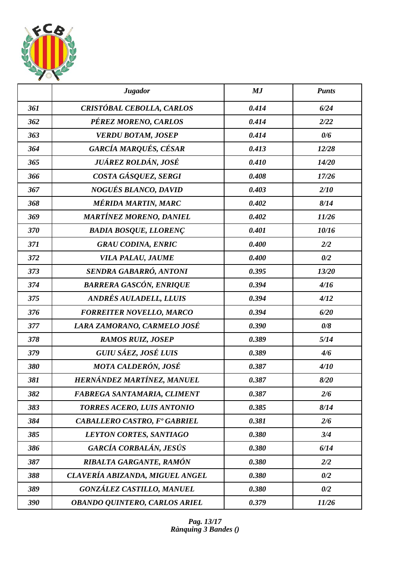

|     | <b>Jugador</b>                       | MJ    | <b>Punts</b> |
|-----|--------------------------------------|-------|--------------|
| 361 | CRISTÓBAL CEBOLLA, CARLOS            | 0.414 | 6/24         |
| 362 | PÉREZ MORENO, CARLOS                 | 0.414 | 2/22         |
| 363 | <b>VERDU BOTAM, JOSEP</b>            | 0.414 | 0/6          |
| 364 | GARCÍA MARQUÉS, CÉSAR                | 0.413 | 12/28        |
| 365 | JUÁREZ ROLDÁN, JOSÉ                  | 0.410 | 14/20        |
| 366 | COSTA GÁSQUEZ, SERGI                 | 0.408 | 17/26        |
| 367 | NOGUÉS BLANCO, DAVID                 | 0.403 | 2/10         |
| 368 | MÉRIDA MARTIN, MARC                  | 0.402 | 8/14         |
| 369 | <b>MARTÍNEZ MORENO, DANIEL</b>       | 0.402 | 11/26        |
| 370 | <b>BADIA BOSQUE, LLORENÇ</b>         | 0.401 | 10/16        |
| 371 | <b>GRAU CODINA, ENRIC</b>            | 0.400 | 2/2          |
| 372 | VILA PALAU, JAUME                    | 0.400 | 0/2          |
| 373 | SENDRA GABARRÓ, ANTONI               | 0.395 | 13/20        |
| 374 | <b>BARRERA GASCÓN, ENRIQUE</b>       | 0.394 | 4/16         |
| 375 | ANDRÉS AULADELL, LLUIS               | 0.394 | 4/12         |
| 376 | <b>FORREITER NOVELLO, MARCO</b>      | 0.394 | 6/20         |
| 377 | LARA ZAMORANO, CARMELO JOSÉ          | 0.390 | 0/8          |
| 378 | <b>RAMOS RUIZ, JOSEP</b>             | 0.389 | 5/14         |
| 379 | GUIU SÁEZ, JOSÉ LUIS                 | 0.389 | 4/6          |
| 380 | MOTA CALDERÓN, JOSÉ                  | 0.387 | 4/10         |
| 381 | HERNÁNDEZ MARTÍNEZ, MANUEL           | 0.387 | 8/20         |
| 382 | FABREGA SANTAMARIA, CLIMENT          | 0.387 | 2/6          |
| 383 | TORRES ACERO, LUIS ANTONIO           | 0.385 | 8/14         |
| 384 | <b>CABALLERO CASTRO, Fº GABRIEL</b>  | 0.381 | 2/6          |
| 385 | LEYTON CORTES, SANTIAGO              | 0.380 | 3/4          |
| 386 | GARCÍA CORBALÁN, JESÚS               | 0.380 | 6/14         |
| 387 | RIBALTA GARGANTE, RAMÓN              | 0.380 | 2/2          |
| 388 | CLAVERÍA ABIZANDA, MIGUEL ANGEL      | 0.380 | 0/2          |
| 389 | <b>GONZÁLEZ CASTILLO, MANUEL</b>     | 0.380 | 0/2          |
| 390 | <b>OBANDO QUINTERO, CARLOS ARIEL</b> | 0.379 | 11/26        |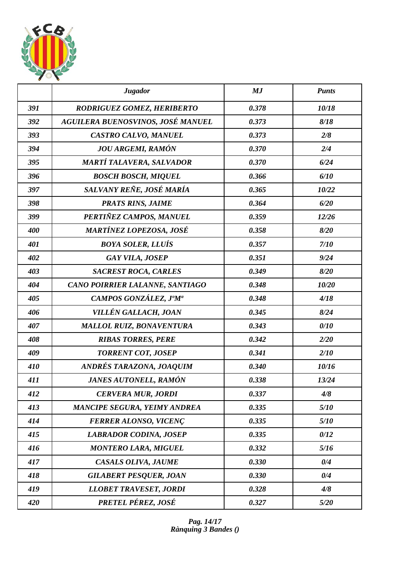

|     | <b>Jugador</b>                      | MJ    | <b>Punts</b> |
|-----|-------------------------------------|-------|--------------|
| 391 | RODRIGUEZ GOMEZ, HERIBERTO          | 0.378 | 10/18        |
| 392 | AGUILERA BUENOSVINOS, JOSÉ MANUEL   | 0.373 | 8/18         |
| 393 | CASTRO CALVO, MANUEL                | 0.373 | 2/8          |
| 394 | <b>JOU ARGEMI, RAMÓN</b>            | 0.370 | 2/4          |
| 395 | <b>MARTÍ TALAVERA, SALVADOR</b>     | 0.370 | 6/24         |
| 396 | <b>BOSCH BOSCH, MIQUEL</b>          | 0.366 | 6/10         |
| 397 | SALVANY REÑE, JOSÉ MARÍA            | 0.365 | 10/22        |
| 398 | <b>PRATS RINS, JAIME</b>            | 0.364 | 6/20         |
| 399 | PERTIÑEZ CAMPOS, MANUEL             | 0.359 | 12/26        |
| 400 | <b>MARTÍNEZ LOPEZOSA, JOSÉ</b>      | 0.358 | 8/20         |
| 401 | <b>BOYA SOLER, LLUÍS</b>            | 0.357 | 7/10         |
| 402 | <b>GAY VILA, JOSEP</b>              | 0.351 | 9/24         |
| 403 | <b>SACREST ROCA, CARLES</b>         | 0.349 | 8/20         |
| 404 | CANO POIRRIER LALANNE, SANTIAGO     | 0.348 | 10/20        |
| 405 | CAMPOS GONZÁLEZ, J°M <sup>a</sup>   | 0.348 | 4/18         |
| 406 | VILLÉN GALLACH, JOAN                | 0.345 | 8/24         |
| 407 | <b>MALLOL RUIZ, BONAVENTURA</b>     | 0.343 | 0/10         |
| 408 | <b>RIBAS TORRES, PERE</b>           | 0.342 | 2/20         |
| 409 | <b>TORRENT COT, JOSEP</b>           | 0.341 | 2/10         |
| 410 | ANDRÉS TARAZONA, JOAQUIM            | 0.340 | 10/16        |
| 411 | <b>JANES AUTONELL, RAMÓN</b>        | 0.338 | 13/24        |
| 412 | <b>CERVERA MUR, JORDI</b>           | 0.337 | 4/8          |
| 413 | <b>MANCIPE SEGURA, YEIMY ANDREA</b> | 0.335 | 5/10         |
| 414 | <b>FERRER ALONSO, VICENÇ</b>        | 0.335 | 5/10         |
| 415 | <b>LABRADOR CODINA, JOSEP</b>       | 0.335 | 0/12         |
| 416 | <b>MONTERO LARA, MIGUEL</b>         | 0.332 | 5/16         |
| 417 | CASALS OLIVA, JAUME                 | 0.330 | 0/4          |
| 418 | <b>GILABERT PESQUER, JOAN</b>       | 0.330 | 0/4          |
| 419 | <b>LLOBET TRAVESET, JORDI</b>       | 0.328 | 4/8          |
| 420 | PRETEL PÉREZ, JOSÉ                  | 0.327 | 5/20         |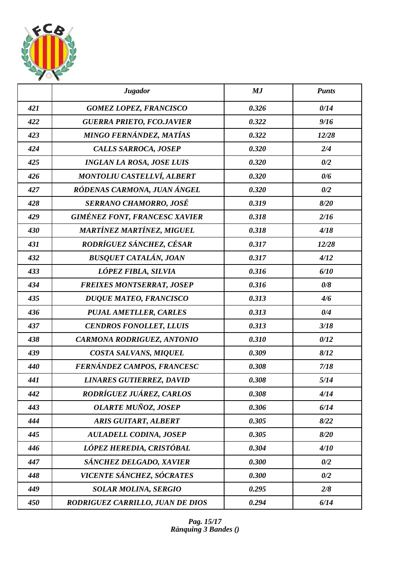

|     | <b>Jugador</b>                       | MJ    | <b>Punts</b> |
|-----|--------------------------------------|-------|--------------|
| 421 | <b>GOMEZ LOPEZ, FRANCISCO</b>        | 0.326 | 0/14         |
| 422 | <b>GUERRA PRIETO, FCO.JAVIER</b>     | 0.322 | 9/16         |
| 423 | MINGO FERNÁNDEZ, MATÍAS              | 0.322 | 12/28        |
| 424 | <b>CALLS SARROCA, JOSEP</b>          | 0.320 | 2/4          |
| 425 | <b>INGLAN LA ROSA, JOSE LUIS</b>     | 0.320 | 0/2          |
| 426 | <b>MONTOLIU CASTELLVÍ, ALBERT</b>    | 0.320 | 0/6          |
| 427 | RÓDENAS CARMONA, JUAN ÁNGEL          | 0.320 | 0/2          |
| 428 | <b>SERRANO CHAMORRO, JOSÉ</b>        | 0.319 | 8/20         |
| 429 | <b>GIMÉNEZ FONT, FRANCESC XAVIER</b> | 0.318 | 2/16         |
| 430 | <b>MARTÍNEZ MARTÍNEZ, MIGUEL</b>     | 0.318 | 4/18         |
| 431 | RODRÍGUEZ SÁNCHEZ, CÉSAR             | 0.317 | 12/28        |
| 432 | <b>BUSQUET CATALÁN, JOAN</b>         | 0.317 | 4/12         |
| 433 | LÓPEZ FIBLA, SILVIA                  | 0.316 | 6/10         |
| 434 | <b>FREIXES MONTSERRAT, JOSEP</b>     | 0.316 | 0/8          |
| 435 | <b>DUQUE MATEO, FRANCISCO</b>        | 0.313 | 4/6          |
| 436 | <b>PUJAL AMETLLER, CARLES</b>        | 0.313 | 0/4          |
| 437 | <b>CENDROS FONOLLET, LLUIS</b>       | 0.313 | 3/18         |
| 438 | <b>CARMONA RODRIGUEZ, ANTONIO</b>    | 0.310 | 0/12         |
| 439 | COSTA SALVANS, MIQUEL                | 0.309 | 8/12         |
| 440 | FERNÁNDEZ CAMPOS, FRANCESC           | 0.308 | 7/18         |
| 441 | <b>LINARES GUTIERREZ, DAVID</b>      | 0.308 | 5/14         |
| 442 | RODRÍGUEZ JUÁREZ, CARLOS             | 0.308 | 4/14         |
| 443 | <b>OLARTE MUÑOZ, JOSEP</b>           | 0.306 | 6/14         |
| 444 | <b>ARIS GUITART, ALBERT</b>          | 0.305 | 8/22         |
| 445 | <b>AULADELL CODINA, JOSEP</b>        | 0.305 | 8/20         |
| 446 | LÓPEZ HEREDIA, CRISTÓBAL             | 0.304 | 4/10         |
| 447 | SÁNCHEZ DELGADO, XAVIER              | 0.300 | 0/2          |
| 448 | VICENTE SÁNCHEZ, SÓCRATES            | 0.300 | 0/2          |
| 449 | <b>SOLAR MOLINA, SERGIO</b>          | 0.295 | 2/8          |
| 450 | RODRIGUEZ CARRILLO, JUAN DE DIOS     | 0.294 | 6/14         |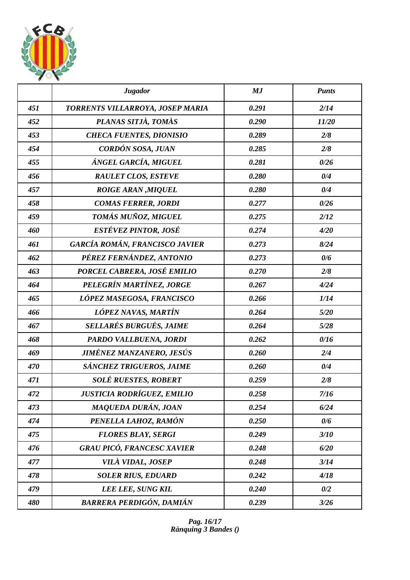

|     | <b>Jugador</b>                    | MJ    | <b>Punts</b> |
|-----|-----------------------------------|-------|--------------|
| 451 | TORRENTS VILLARROYA, JOSEP MARIA  | 0.291 | 2/14         |
| 452 | PLANAS SITJÀ, TOMÀS               | 0.290 | 11/20        |
| 453 | <b>CHECA FUENTES, DIONISIO</b>    | 0.289 | 2/8          |
| 454 | CORDÓN SOSA, JUAN                 | 0.285 | 2/8          |
| 455 | ÁNGEL GARCÍA, MIGUEL              | 0.281 | 0/26         |
| 456 | <b>RAULET CLOS, ESTEVE</b>        | 0.280 | 0/4          |
| 457 | <b>ROIGE ARAN, MIQUEL</b>         | 0.280 | 0/4          |
| 458 | <b>COMAS FERRER, JORDI</b>        | 0.277 | 0/26         |
| 459 | TOMÁS MUÑOZ, MIGUEL               | 0.275 | 2/12         |
| 460 | ESTÉVEZ PINTOR, JOSÉ              | 0.274 | 4/20         |
| 461 | GARCÍA ROMÁN, FRANCISCO JAVIER    | 0.273 | 8/24         |
| 462 | PÉREZ FERNÁNDEZ, ANTONIO          | 0.273 | 0/6          |
| 463 | PORCEL CABRERA, JOSÉ EMILIO       | 0.270 | 2/8          |
| 464 | PELEGRÍN MARTÍNEZ, JORGE          | 0.267 | 4/24         |
| 465 | LÓPEZ MASEGOSA, FRANCISCO         | 0.266 | 1/14         |
| 466 | LÓPEZ NAVAS, MARTÍN               | 0.264 | 5/20         |
| 467 | <b>SELLARÉS BURGUÉS, JAIME</b>    | 0.264 | 5/28         |
| 468 | PARDO VALLBUENA, JORDI            | 0.262 | 0/16         |
| 469 | <b>JIMÉNEZ MANZANERO, JESÚS</b>   | 0.260 | 2/4          |
| 470 | SÁNCHEZ TRIGUEROS, JAIME          | 0.260 | 0/4          |
| 471 | SOLÉ RUESTES, ROBERT              | 0.259 | 2/8          |
| 472 | <b>JUSTICIA RODRÍGUEZ, EMILIO</b> | 0.258 | 7/16         |
| 473 | MAQUEDA DURÁN, JOAN               | 0.254 | 6/24         |
| 474 | PENELLA LAHOZ, RAMÓN              | 0.250 | 0/6          |
| 475 | <b>FLORES BLAY, SERGI</b>         | 0.249 | 3/10         |
| 476 | <b>GRAU PICÓ, FRANCESC XAVIER</b> | 0.248 | 6/20         |
| 477 | <b>VILÀ VIDAL, JOSEP</b>          | 0.248 | 3/14         |
| 478 | <b>SOLER RIUS, EDUARD</b>         | 0.242 | 4/18         |
| 479 | LEE LEE, SUNG KIL                 | 0.240 | 0/2          |
| 480 | <b>BARRERA PERDIGÓN, DAMIÁN</b>   | 0.239 | 3/26         |

*Pag. 16/17 Rànquing 3 Bandes ()*